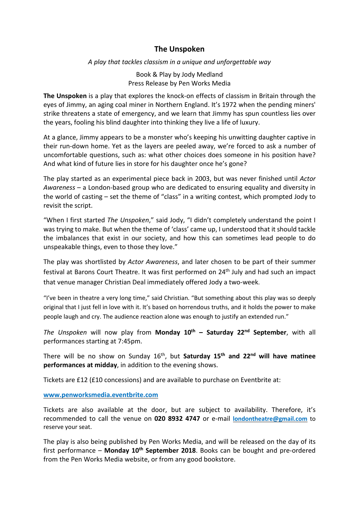## **The Unspoken**

*A play that tackles classism in a unique and unforgettable way*

Book & Play by Jody Medland Press Release by Pen Works Media

**The Unspoken** is a play that explores the knock-on effects of classism in Britain through the eyes of Jimmy, an aging coal miner in Northern England. It's 1972 when the pending miners' strike threatens a state of emergency, and we learn that Jimmy has spun countless lies over the years, fooling his blind daughter into thinking they live a life of luxury.

At a glance, Jimmy appears to be a monster who's keeping his unwitting daughter captive in their run-down home. Yet as the layers are peeled away, we're forced to ask a number of uncomfortable questions, such as: what other choices does someone in his position have? And what kind of future lies in store for his daughter once he's gone?

The play started as an experimental piece back in 2003, but was never finished until *Actor Awareness* – a London-based group who are dedicated to ensuring equality and diversity in the world of casting – set the theme of "class" in a writing contest, which prompted Jody to revisit the script.

"When I first started *The Unspoken*," said Jody, "I didn't completely understand the point I was trying to make. But when the theme of 'class' came up, I understood that it should tackle the imbalances that exist in our society, and how this can sometimes lead people to do unspeakable things, even to those they love."

The play was shortlisted by *Actor Awareness*, and later chosen to be part of their summer festival at Barons Court Theatre. It was first performed on 24<sup>th</sup> July and had such an impact that venue manager Christian Deal immediately offered Jody a two-week.

"I've been in theatre a very long time," said Christian. "But something about this play was so deeply original that I just fell in love with it. It's based on horrendous truths, and it holds the power to make people laugh and cry. The audience reaction alone was enough to justify an extended run."

*The Unspoken* will now play from **Monday 10th – Saturday 22nd September**, with all performances starting at 7:45pm.

There will be no show on Sunday 16th , but **Saturday 15th and 22nd will have matinee performances at midday**, in addition to the evening shows.

Tickets are £12 (£10 concessions) and are available to purchase on Eventbrite at:

**[www.penworksmedia.eventbrite.com](http://www.penworksmedia.eventbrite.com/)** 

Tickets are also available at the door, but are subject to availability. Therefore, it's recommended to call the venue on **020 8932 4747** or e-mail **[londontheatre@gmail.com](mailto:londontheatre@gmail.com)** to reserve your seat.

The play is also being published by Pen Works Media, and will be released on the day of its first performance – **Monday 10th September 2018**. Books can be bought and pre-ordered from the Pen Works Media website, or from any good bookstore.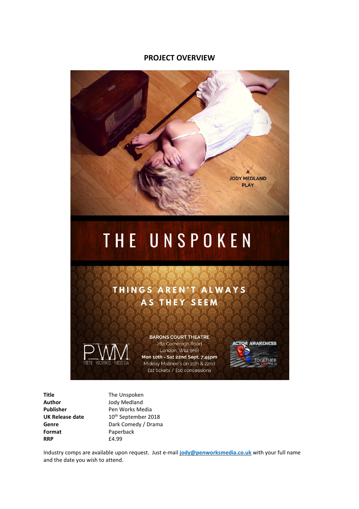## **PROJECT OVERVIEW**



## THINGS AREN'T ALWAYS AS THEY SEEM



**BARONS COURT THEATRE** 28a Comeragh Road London, W14 9HR Mon 10th - Sat 22nd Sept, 7:45pm Midday Matinee's on 15th & 22nd £12 tickets / £10 concessions



**Title** The Unspoken **Author** Jody Medland<br> **Publisher** Pen Works Me **Format** Paperback **RRP** £4.99

**Publisher** Pen Works Media<br>**UK Release date** 10<sup>th</sup> September 20  $10^{th}$  September 2018 Genre **Genre** Dark Comedy / Drama

Industry comps are available upon request. Just e-mail **[jody@penworksmedia.co.uk](mailto:jody@penworksmedia.co.uk)** with your full name and the date you wish to attend.